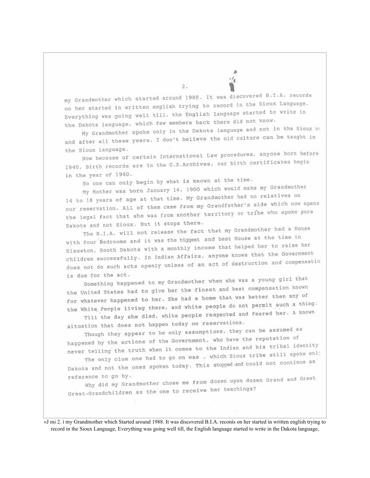my Grandmother which started around 1988. It was discovered B.I.A. records on her started in written english trying to record in the Sioux Language. Everything was going well till, the English language started to write in the Dakota language, which few members back there did not know.

My Grandmother spoke only in the Dakota language and not in the Sioux or and after all these years, I don't believe the old culture can be taught in the Sioux language.

Now because of certain International Law procedures, anyone born before 1940, Birth records are in the U.S.Archives, our birth certificates begin in the year of 1940.

So one can only begin by what is known at the time.

My Mother was born January 14, 1900 which would make my Grandmother 14 to 18 years of age at that time. My Grandmother had no relatives on our reservation. All of them came from my Grandfather's side which now opens the legal fact that she was from another territory or tribe who spoke pure Dakota and not Sioux. But it stops there.

The B.I.A. will not release the fact that my Grandmother had a House with four Bedrooms and it was the biggest and best House at the time in Sisseton, South Dakota with a monthly income that helped her to raise her children successfully. In Indian Affairs, anyone knows that the Government does not do such acts openly unless of an act of destruction and compensatio is due for the act.

Something happened to my Grandmother when she was a young girl that the United States had to give her the finest and best compensation known for whatever happened to her. She had a home that was better then any of the White People living there, and white people do not permit such a thing. Till the day she died, white people respected and feared her. A known

situation that does not happen today on reservations.

Though they appear to be only assumptions, they can be assumed as happened by the actions of the Government, who have the reputation of never telling the truth when it comes to the Indian and his tribal identity The only clue one had to go on was , which Sioux tribe still spoke onl:

Dakota and not the ones spoken today. This stopped and could not continue as reference to go by.

Why did my Grandmother chose me from dozen upon dozen Grand and Great Great-Grandchildren as the one to receive her teachings?

«J mi 2. i my Grandmother which Started around 1988. It was discovered B.I.A. reconis on her started in written english trying to record in the Sioux Language, Everything was going well till, the English language started to write in the Dakota language,

 $\bar{z}$ .